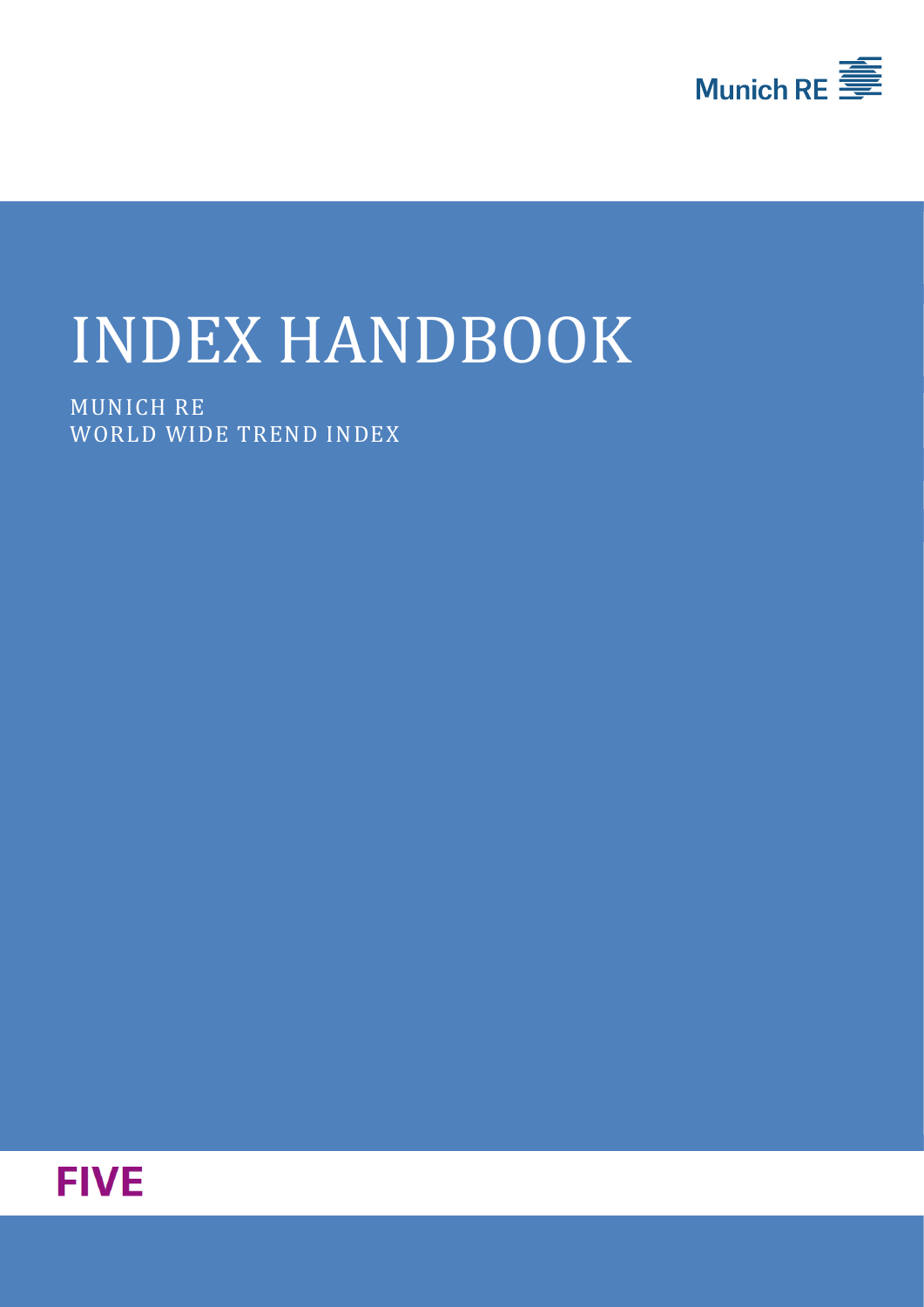

# INDEX HANDBOOK

MUNICH RE WORLD WIDE TREND INDEX

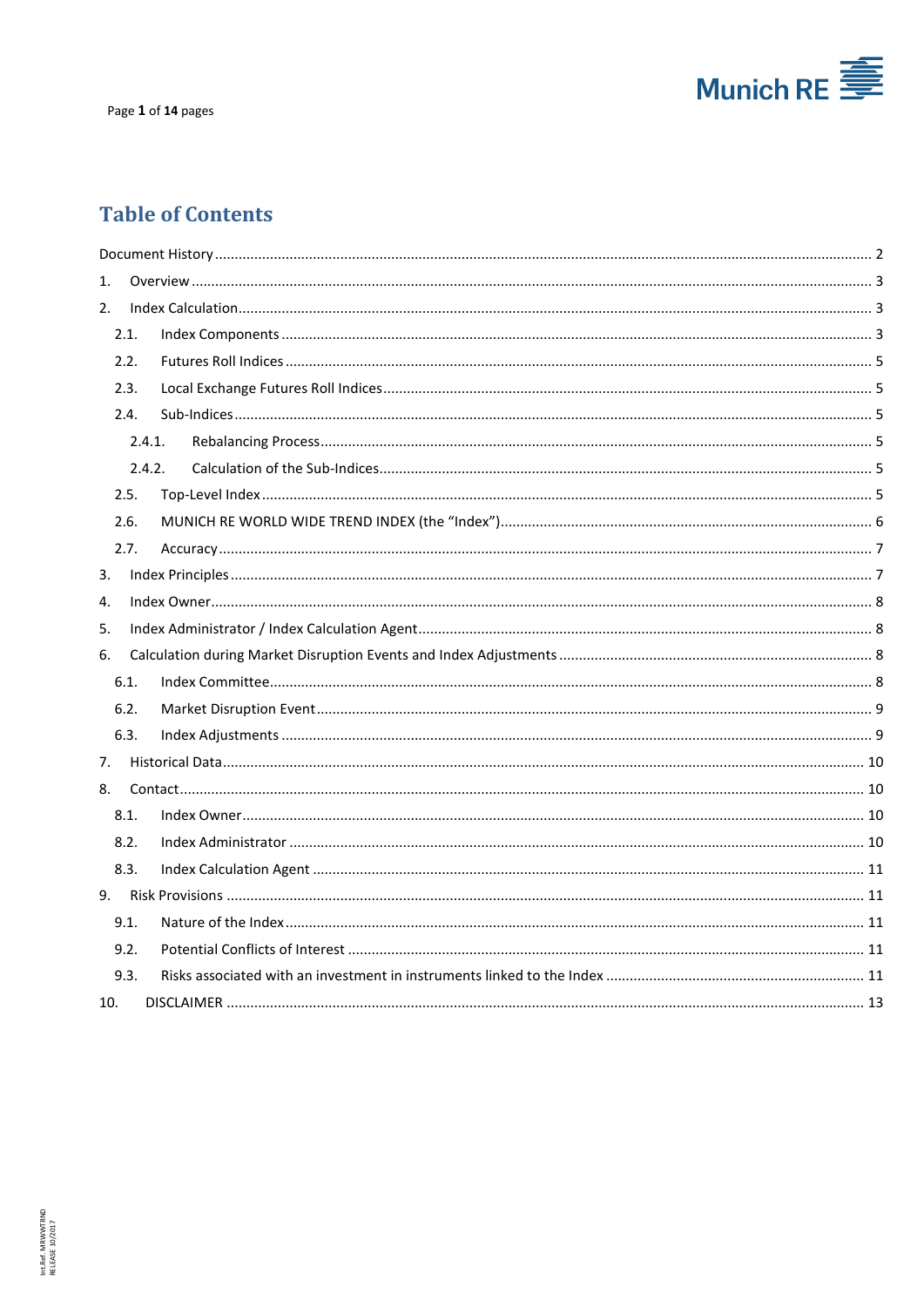

## **Table of Contents**

| 1.  |      |        |  |  |  |  |
|-----|------|--------|--|--|--|--|
| 2.  |      |        |  |  |  |  |
|     | 2.1. |        |  |  |  |  |
|     | 2.2. |        |  |  |  |  |
|     | 2.3. |        |  |  |  |  |
|     | 2.4. |        |  |  |  |  |
|     |      | 2.4.1. |  |  |  |  |
|     |      | 2.4.2. |  |  |  |  |
|     | 2.5. |        |  |  |  |  |
|     | 2.6. |        |  |  |  |  |
|     | 2.7. |        |  |  |  |  |
| 3.  |      |        |  |  |  |  |
| 4.  |      |        |  |  |  |  |
| 5.  |      |        |  |  |  |  |
| 6.  |      |        |  |  |  |  |
|     | 6.1. |        |  |  |  |  |
|     | 6.2. |        |  |  |  |  |
|     | 6.3. |        |  |  |  |  |
| 7.  |      |        |  |  |  |  |
| 8.  |      |        |  |  |  |  |
|     | 8.1. |        |  |  |  |  |
|     | 8.2. |        |  |  |  |  |
|     | 8.3. |        |  |  |  |  |
|     |      |        |  |  |  |  |
|     | 9.1. |        |  |  |  |  |
|     | 9.2. |        |  |  |  |  |
|     | 9.3. |        |  |  |  |  |
| 10. |      |        |  |  |  |  |
|     |      |        |  |  |  |  |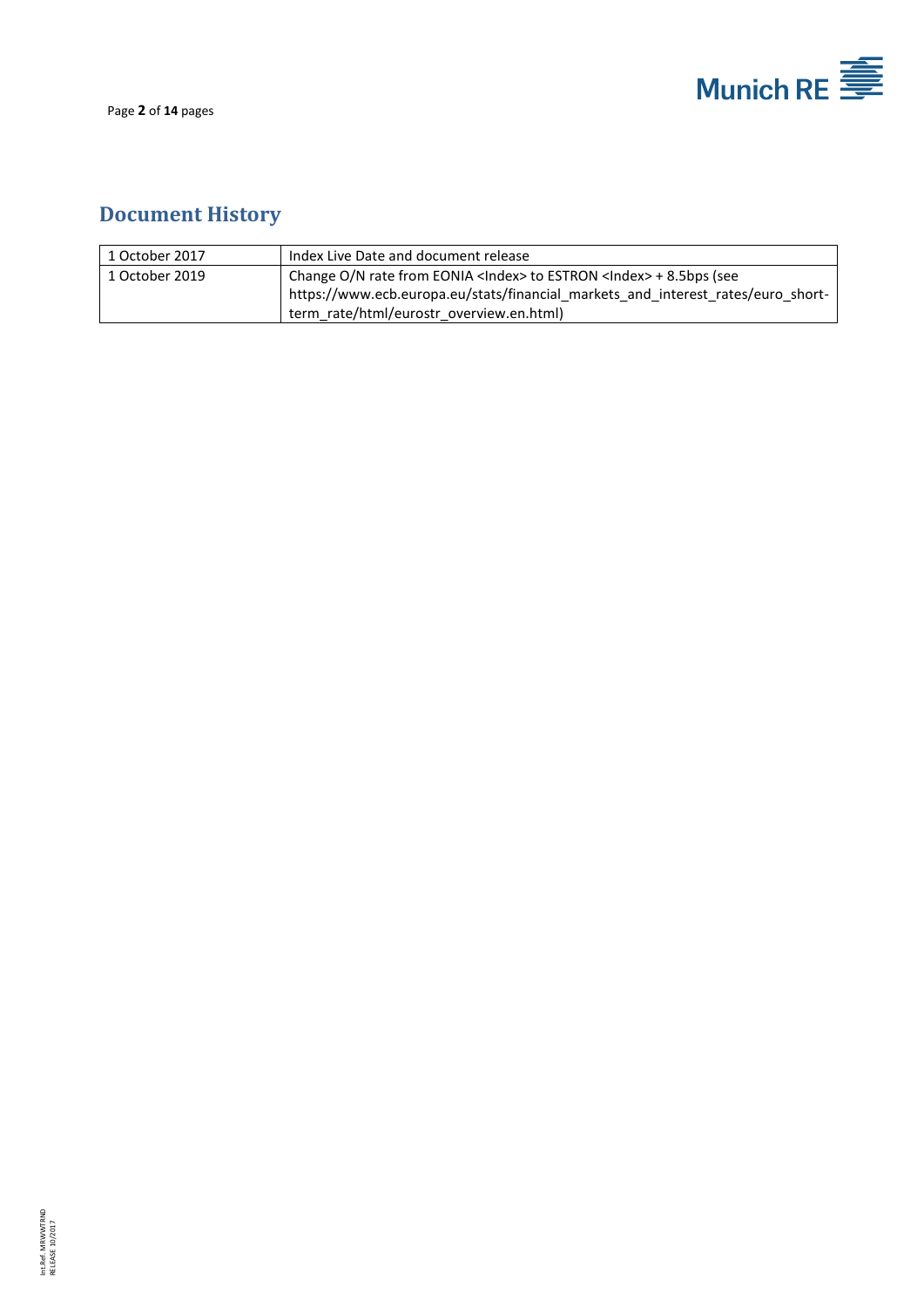

Page **2** of **14** pages

# <span id="page-2-0"></span>**Document History**

| 1 October 2017 | Index Live Date and document release                                               |
|----------------|------------------------------------------------------------------------------------|
| 1 October 2019 | Change O/N rate from EONIA <lndex> to ESTRON <lndex> + 8.5bps (see</lndex></lndex> |
|                | https://www.ecb.europa.eu/stats/financial markets and interest rates/euro short-   |
|                | term rate/html/eurostr overview.en.html)                                           |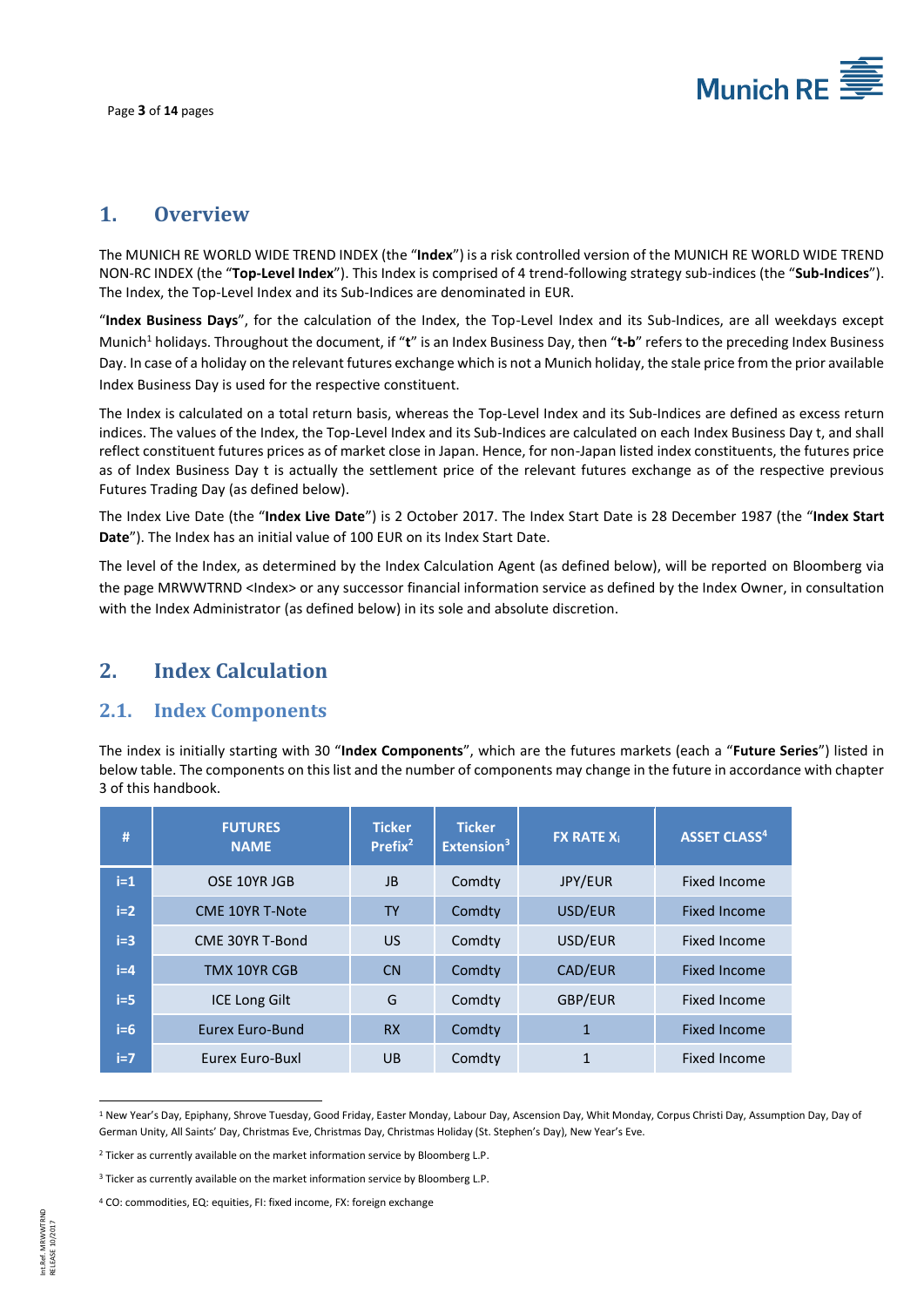

## <span id="page-3-0"></span>**1. Overview**

The MUNICH RE WORLD WIDE TREND INDEX (the "**Index**") is a risk controlled version of the MUNICH RE WORLD WIDE TREND NON-RC INDEX (the "**Top-Level Index**"). This Index is comprised of 4 trend-following strategy sub-indices (the "**Sub-Indices**"). The Index, the Top-Level Index and its Sub-Indices are denominated in EUR.

"**Index Business Days**", for the calculation of the Index, the Top-Level Index and its Sub-Indices, are all weekdays except Munich<sup>1</sup> holidays. Throughout the document, if "**t**" is an Index Business Day, then "**t-b**" refers to the preceding Index Business Day. In case of a holiday on the relevant futures exchange which is not a Munich holiday, the stale price from the prior available Index Business Day is used for the respective constituent.

The Index is calculated on a total return basis, whereas the Top-Level Index and its Sub-Indices are defined as excess return indices. The values of the Index, the Top-Level Index and its Sub-Indices are calculated on each Index Business Day t, and shall reflect constituent futures prices as of market close in Japan. Hence, for non-Japan listed index constituents, the futures price as of Index Business Day t is actually the settlement price of the relevant futures exchange as of the respective previous Futures Trading Day (as defined below).

The Index Live Date (the "**Index Live Date**") is 2 October 2017. The Index Start Date is 28 December 1987 (the "**Index Start Date**"). The Index has an initial value of 100 EUR on its Index Start Date.

The level of the Index, as determined by the Index Calculation Agent (as defined below), will be reported on Bloomberg via the page MRWWTRND <Index> or any successor financial information service as defined by the Index Owner, in consultation with the Index Administrator (as defined below) in its sole and absolute discretion.

## <span id="page-3-1"></span>**2. Index Calculation**

## <span id="page-3-2"></span>**2.1. Index Components**

The index is initially starting with 30 "**Index Components**", which are the futures markets (each a "**Future Series**") listed in below table. The components on this list and the number of components may change in the future in accordance with chapter [3](#page-7-1) of this handbook.

| #     | <b>FUTURES</b><br><b>NAME</b> | <b>Ticker</b><br>Prefix <sup>2</sup> | <b>Ticker</b><br>Extension <sup>3</sup> | <b>FX RATE Xi</b> | <b>ASSET CLASS<sup>4</sup></b> |
|-------|-------------------------------|--------------------------------------|-----------------------------------------|-------------------|--------------------------------|
| $i=1$ | OSE 10YR JGB                  | <b>JB</b>                            | Comdty                                  | JPY/EUR           | <b>Fixed Income</b>            |
| $i=2$ | <b>CME 10YR T-Note</b>        | <b>TY</b>                            | Comdty                                  | USD/EUR           | <b>Fixed Income</b>            |
| $i=3$ | CME 30YR T-Bond               | US.                                  | Comdty                                  | USD/EUR           | <b>Fixed Income</b>            |
| $i=4$ | <b>TMX 10YR CGB</b>           | CN                                   | Comdty                                  | CAD/EUR           | <b>Fixed Income</b>            |
| $i=5$ | <b>ICE Long Gilt</b>          | G                                    | Comdty                                  | GBP/EUR           | <b>Fixed Income</b>            |
| $i=6$ | Eurex Euro-Bund               | <b>RX</b>                            | Comdty                                  | 1                 | <b>Fixed Income</b>            |
| $i=7$ | Eurex Euro-Buxl               | <b>UB</b>                            | Comdty                                  | 1                 | <b>Fixed Income</b>            |

 $\overline{a}$ <sup>1</sup> New Year's Day, Epiphany, Shrove Tuesday, Good Friday, Easter Monday, Labour Day, Ascension Day, Whit Monday, Corpus Christi Day, Assumption Day, Day of German Unity, All Saints' Day, Christmas Eve, Christmas Day, Christmas Holiday (St. Stephen's Day), New Year's Eve.

<sup>&</sup>lt;sup>2</sup> Ticker as currently available on the market information service by Bloomberg L.P.

<sup>&</sup>lt;sup>3</sup> Ticker as currently available on the market information service by Bloomberg L.P.

<sup>4</sup> CO: commodities, EQ: equities, FI: fixed income, FX: foreign exchange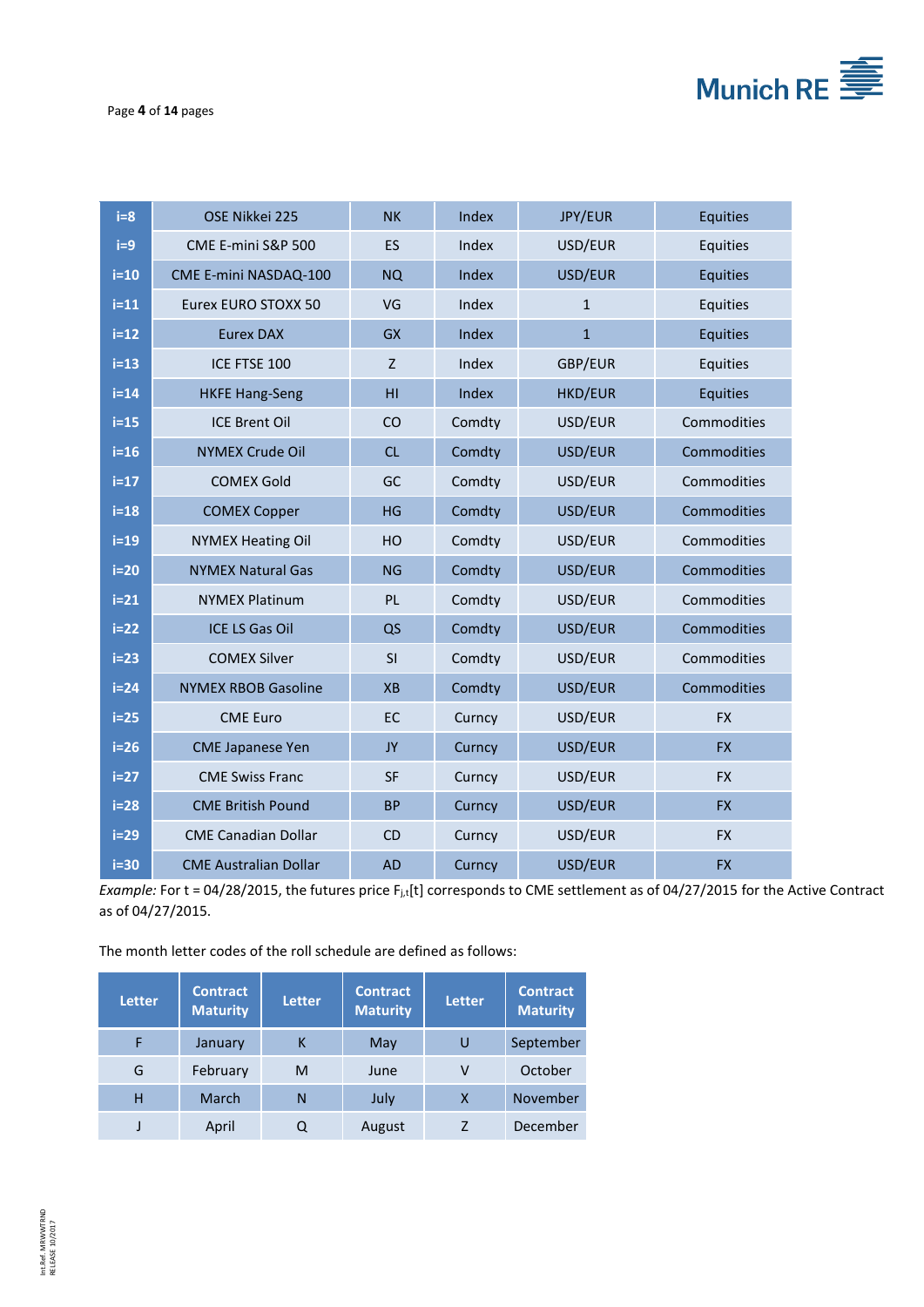

Page **4** of **14** pages

| $i=8$  | OSE Nikkei 225               | <b>NK</b> | Index  | JPY/EUR        | Equities    |
|--------|------------------------------|-----------|--------|----------------|-------------|
| $i=9$  | CME E-mini S&P 500           | <b>ES</b> | Index  | USD/EUR        | Equities    |
| $i=10$ | CME E-mini NASDAQ-100        | <b>NQ</b> | Index  | USD/EUR        | Equities    |
| $i=11$ | Eurex EURO STOXX 50          | VG        | Index  | $\mathbf{1}$   | Equities    |
| $i=12$ | <b>Eurex DAX</b>             | <b>GX</b> | Index  | $\mathbf{1}$   | Equities    |
| $i=13$ | ICE FTSE 100                 | Z         | Index  | GBP/EUR        | Equities    |
| $i=14$ | <b>HKFE Hang-Seng</b>        | HI        | Index  | <b>HKD/EUR</b> | Equities    |
| $i=15$ | <b>ICE Brent Oil</b>         | CO        | Comdty | USD/EUR        | Commodities |
| $i=16$ | <b>NYMEX Crude Oil</b>       | CL        | Comdty | USD/EUR        | Commodities |
| $i=17$ | <b>COMEX Gold</b>            | GC        | Comdty | USD/EUR        | Commodities |
| $i=18$ | <b>COMEX Copper</b>          | HG        | Comdty | USD/EUR        | Commodities |
| $i=19$ | <b>NYMEX Heating Oil</b>     | HO        | Comdty | USD/EUR        | Commodities |
| $i=20$ | <b>NYMEX Natural Gas</b>     | <b>NG</b> | Comdty | USD/EUR        | Commodities |
| $i=21$ | <b>NYMEX Platinum</b>        | <b>PL</b> | Comdty | USD/EUR        | Commodities |
| $i=22$ | <b>ICE LS Gas Oil</b>        | QS        | Comdty | USD/EUR        | Commodities |
| $i=23$ | <b>COMEX Silver</b>          | SI        | Comdty | USD/EUR        | Commodities |
| $i=24$ | <b>NYMEX RBOB Gasoline</b>   | <b>XB</b> | Comdty | USD/EUR        | Commodities |
| $i=25$ | <b>CME Euro</b>              | EC        | Curncy | USD/EUR        | <b>FX</b>   |
| $i=26$ | <b>CME Japanese Yen</b>      | JY        | Curncy | USD/EUR        | <b>FX</b>   |
| $i=27$ | <b>CME Swiss Franc</b>       | <b>SF</b> | Curncy | USD/EUR        | <b>FX</b>   |
| $i=28$ | <b>CME British Pound</b>     | <b>BP</b> | Curncy | USD/EUR        | <b>FX</b>   |
| $i=29$ | <b>CME Canadian Dollar</b>   | CD        | Curncy | USD/EUR        | <b>FX</b>   |
| $i=30$ | <b>CME Australian Dollar</b> | <b>AD</b> | Curncy | USD/EUR        | <b>FX</b>   |

*Example:* For t = 04/28/2015, the futures price F<sub>j,t</sub>[t] corresponds to CME settlement as of 04/27/2015 for the Active Contract as of 04/27/2015.

The month letter codes of the roll schedule are defined as follows:

| <b>Letter</b> | <b>Contract</b><br><b>Maturity</b> | <b>Letter</b> | <b>Contract</b><br><b>Maturity</b> | <b>Letter</b> | <b>Contract</b><br><b>Maturity</b> |
|---------------|------------------------------------|---------------|------------------------------------|---------------|------------------------------------|
|               | January                            |               | May                                |               | September                          |
| G             | February                           | м             | June                               | v             | October                            |
| н             | March                              |               | July                               | X             | November                           |
|               | April                              |               | August                             |               | December                           |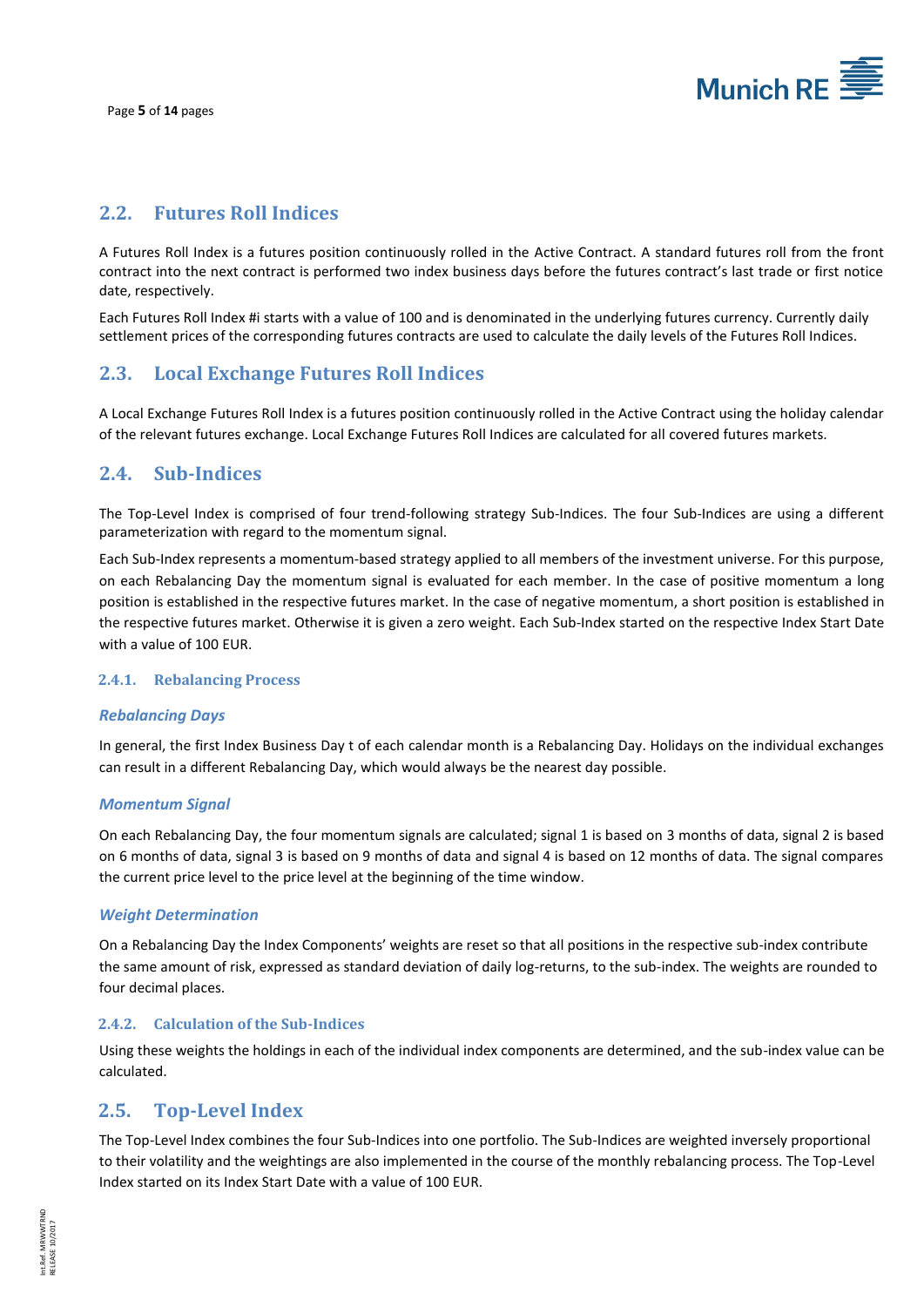

### <span id="page-5-0"></span>**2.2. Futures Roll Indices**

A Futures Roll Index is a futures position continuously rolled in the Active Contract. A standard futures roll from the front contract into the next contract is performed two index business days before the futures contract's last trade or first notice date, respectively.

Each Futures Roll Index #i starts with a value of 100 and is denominated in the underlying futures currency. Currently daily settlement prices of the corresponding futures contracts are used to calculate the daily levels of the Futures Roll Indices.

## <span id="page-5-1"></span>**2.3. Local Exchange Futures Roll Indices**

A Local Exchange Futures Roll Index is a futures position continuously rolled in the Active Contract using the holiday calendar of the relevant futures exchange. Local Exchange Futures Roll Indices are calculated for all covered futures markets.

## <span id="page-5-2"></span>**2.4. Sub-Indices**

The Top-Level Index is comprised of four trend-following strategy Sub-Indices. The four Sub-Indices are using a different parameterization with regard to the momentum signal.

Each Sub-Index represents a momentum-based strategy applied to all members of the investment universe. For this purpose, on each Rebalancing Day the momentum signal is evaluated for each member. In the case of positive momentum a long position is established in the respective futures market. In the case of negative momentum, a short position is established in the respective futures market. Otherwise it is given a zero weight. Each Sub-Index started on the respective Index Start Date with a value of 100 EUR.

#### <span id="page-5-3"></span>**2.4.1. Rebalancing Process**

#### *Rebalancing Days*

In general, the first Index Business Day t of each calendar month is a Rebalancing Day. Holidays on the individual exchanges can result in a different Rebalancing Day, which would always be the nearest day possible.

#### *Momentum Signal*

On each Rebalancing Day, the four momentum signals are calculated; signal 1 is based on 3 months of data, signal 2 is based on 6 months of data, signal 3 is based on 9 months of data and signal 4 is based on 12 months of data. The signal compares the current price level to the price level at the beginning of the time window.

#### *Weight Determination*

On a Rebalancing Day the Index Components' weights are reset so that all positions in the respective sub-index contribute the same amount of risk, expressed as standard deviation of daily log-returns, to the sub-index. The weights are rounded to four decimal places.

#### <span id="page-5-4"></span>**2.4.2. Calculation of the Sub-Indices**

Using these weights the holdings in each of the individual index components are determined, and the sub-index value can be calculated.

#### <span id="page-5-5"></span>**2.5. Top-Level Index**

The Top-Level Index combines the four Sub-Indices into one portfolio. The Sub-Indices are weighted inversely proportional to their volatility and the weightings are also implemented in the course of the monthly rebalancing process. The Top-Level Index started on its Index Start Date with a value of 100 EUR.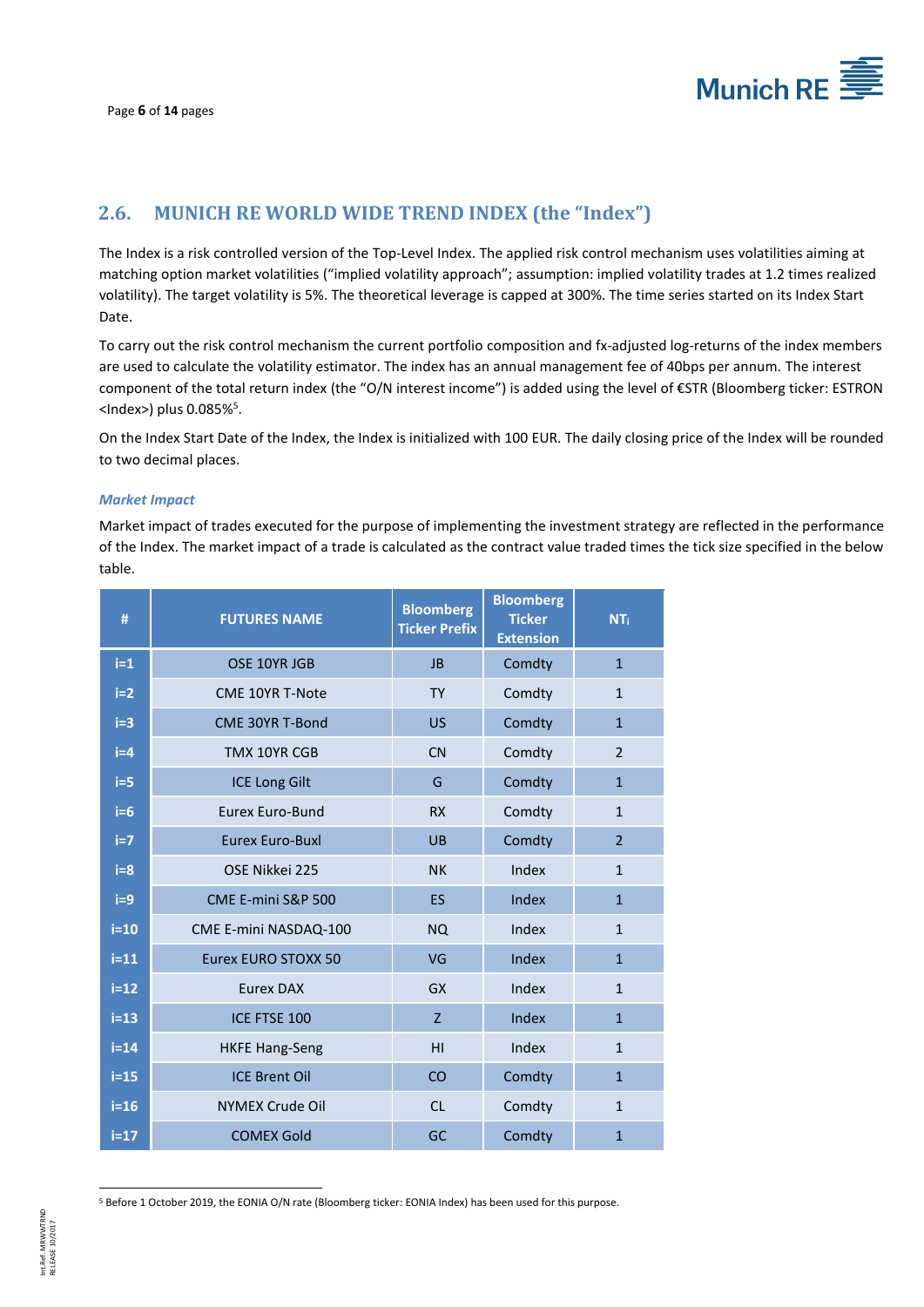

## <span id="page-6-0"></span>**2.6. MUNICH RE WORLD WIDE TREND INDEX (the "Index")**

The Index is a risk controlled version of the Top-Level Index. The applied risk control mechanism uses volatilities aiming at matching option market volatilities ("implied volatility approach"; assumption: implied volatility trades at 1.2 times realized volatility). The target volatility is 5%. The theoretical leverage is capped at 300%. The time series started on its Index Start Date.

To carry out the risk control mechanism the current portfolio composition and fx-adjusted log-returns of the index members are used to calculate the volatility estimator. The index has an annual management fee of 40bps per annum. The interest component of the total return index (the "O/N interest income") is added using the level of €STR (Bloomberg ticker: ESTRON <Index>) plus 0.085%<sup>5</sup>.

On the Index Start Date of the Index, the Index is initialized with 100 EUR. The daily closing price of the Index will be rounded to two decimal places.

#### *Market Impact*

Market impact of trades executed for the purpose of implementing the investment strategy are reflected in the performance of the Index. The market impact of a trade is calculated as the contract value traded times the tick size specified in the below table.

| #      | <b>FUTURES NAME</b>    | <b>Bloomberg</b><br><b>Ticker Prefix</b> | <b>Bloomberg</b><br><b>Ticker</b><br><b>Extension</b> | <b>NT</b> i    |
|--------|------------------------|------------------------------------------|-------------------------------------------------------|----------------|
| $i=1$  | OSE 10YR JGB           | <b>JB</b>                                | Comdty                                                | $\mathbf{1}$   |
| $i=2$  | <b>CME 10YR T-Note</b> | <b>TY</b>                                | Comdty                                                | $\mathbf{1}$   |
| $i=3$  | <b>CME 30YR T-Bond</b> | <b>US</b>                                | Comdty                                                | $\mathbf{1}$   |
| $i=4$  | TMX 10YR CGB           | CN                                       | Comdty                                                | $\overline{2}$ |
| $i=5$  | <b>ICE Long Gilt</b>   | G                                        | Comdty                                                | $\mathbf{1}$   |
| $i=6$  | <b>Eurex Euro-Bund</b> | <b>RX</b>                                | Comdty                                                | $\mathbf{1}$   |
| $i=7$  | <b>Eurex Euro-Buxl</b> | <b>UB</b>                                | Comdty                                                | $\overline{2}$ |
| $i=8$  | OSE Nikkei 225         | <b>NK</b>                                | Index                                                 | $\mathbf{1}$   |
| $i=9$  | CME E-mini S&P 500     | <b>ES</b>                                | Index                                                 | $\mathbf{1}$   |
| $i=10$ | CME E-mini NASDAQ-100  | <b>NQ</b>                                | Index                                                 | $\mathbf{1}$   |
| $i=11$ | Eurex EURO STOXX 50    | VG                                       | Index                                                 | $\mathbf{1}$   |
| $i=12$ | <b>Eurex DAX</b>       | <b>GX</b>                                | Index                                                 | $\mathbf{1}$   |
| $i=13$ | ICE FTSE 100           | Z                                        | Index                                                 | $\mathbf{1}$   |
| $i=14$ | <b>HKFE Hang-Seng</b>  | HI                                       | Index                                                 | $\mathbf{1}$   |
| $i=15$ | <b>ICE Brent Oil</b>   | <b>CO</b>                                | Comdty                                                | $\mathbf{1}$   |
| $i=16$ | <b>NYMEX Crude Oil</b> | CL                                       | Comdty                                                | $\mathbf{1}$   |
| $i=17$ | <b>COMEX Gold</b>      | GC                                       | Comdty                                                | $\mathbf{1}$   |

<sup>5</sup> Before 1 October 2019, the EONIA O/N rate (Bloomberg ticker: EONIA Index) has been used for this purpose.

 $\overline{a}$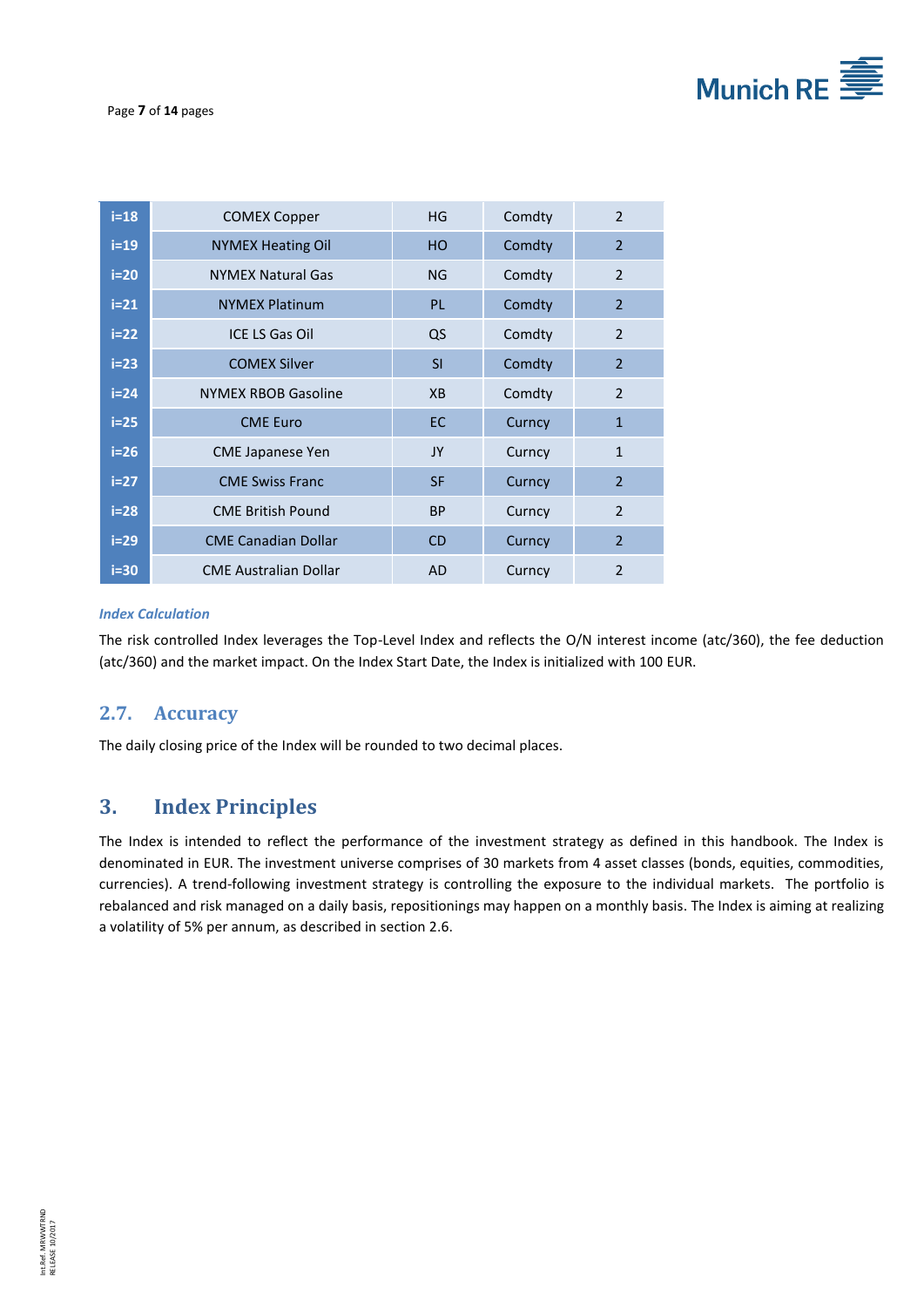

| $i=18$ | <b>COMEX Copper</b>          | HG        | Comdty | 2              |
|--------|------------------------------|-----------|--------|----------------|
| $i=19$ | <b>NYMEX Heating Oil</b>     | HO.       | Comdty | $\overline{2}$ |
| $i=20$ | <b>NYMEX Natural Gas</b>     | NG        | Comdty | 2              |
| $i=21$ | <b>NYMEX Platinum</b>        | <b>PL</b> | Comdty | $\overline{2}$ |
| $i=22$ | ICE LS Gas Oil               | QS        | Comdty | 2              |
| $i=23$ | <b>COMEX Silver</b>          | SI        | Comdty | $\overline{2}$ |
| $i=24$ | <b>NYMEX RBOB Gasoline</b>   | <b>XB</b> | Comdty | 2              |
| $i=25$ | <b>CME Euro</b>              | <b>EC</b> | Curncy | $\mathbf{1}$   |
| $i=26$ | <b>CME Japanese Yen</b>      | JY        | Curncy | $\mathbf{1}$   |
| $i=27$ | <b>CME Swiss Franc</b>       | <b>SF</b> | Curncy | 2              |
| $i=28$ | <b>CME British Pound</b>     | <b>BP</b> | Curncy | $\overline{2}$ |
| $i=29$ | <b>CME Canadian Dollar</b>   | <b>CD</b> | Curncy | $\overline{2}$ |
| $i=30$ | <b>CME Australian Dollar</b> | <b>AD</b> | Curncy | $\overline{2}$ |

#### *Index Calculation*

The risk controlled Index leverages the Top-Level Index and reflects the O/N interest income (atc/360), the fee deduction (atc/360) and the market impact. On the Index Start Date, the Index is initialized with 100 EUR.

## <span id="page-7-0"></span>**2.7. Accuracy**

<span id="page-7-1"></span>The daily closing price of the Index will be rounded to two decimal places.

## **3. Index Principles**

The Index is intended to reflect the performance of the investment strategy as defined in this handbook. The Index is denominated in EUR. The investment universe comprises of 30 markets from 4 asset classes (bonds, equities, commodities, currencies). A trend-following investment strategy is controlling the exposure to the individual markets. The portfolio is rebalanced and risk managed on a daily basis, repositionings may happen on a monthly basis. The Index is aiming at realizing a volatility of 5% per annum, as described in section 2.6.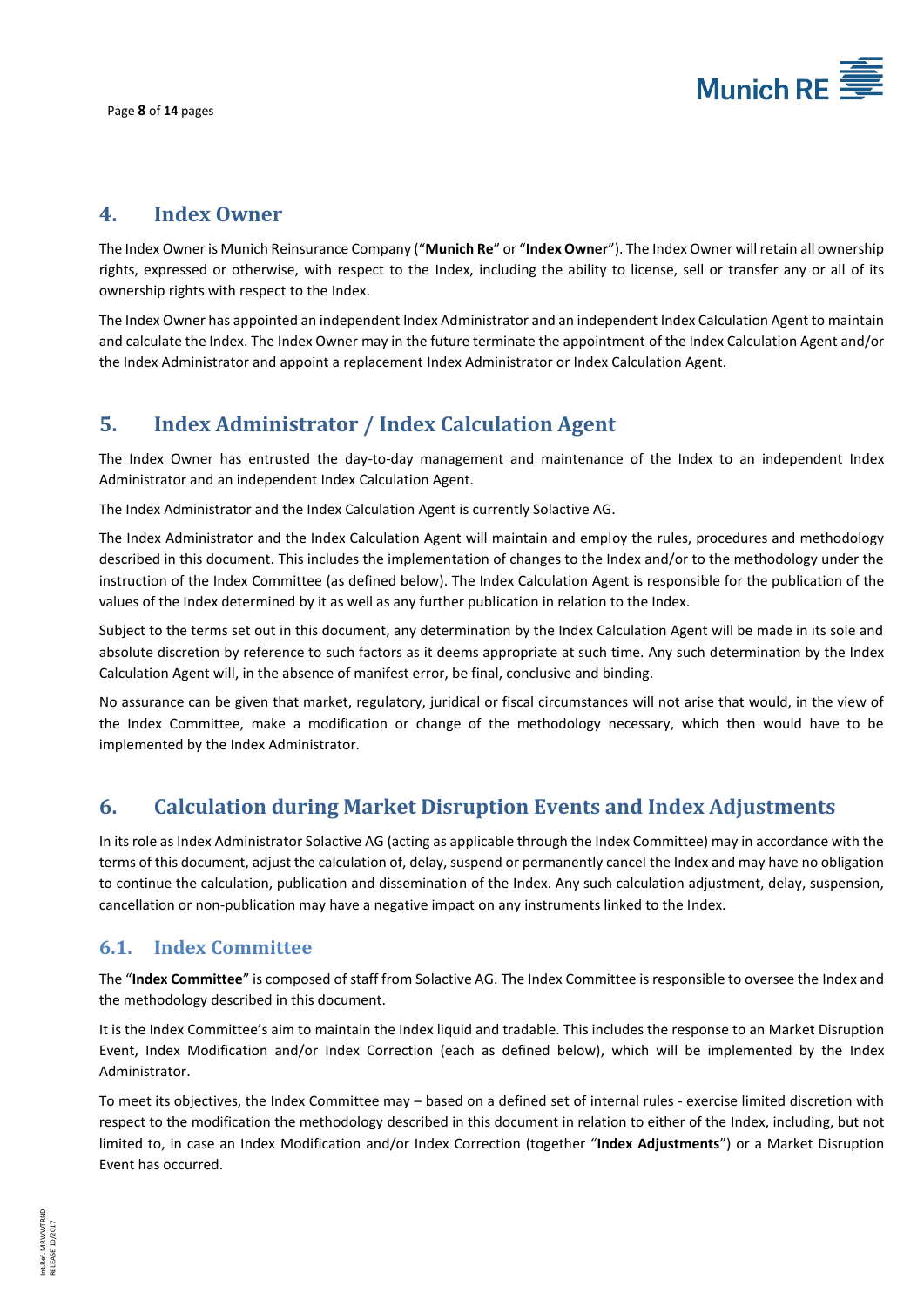

## <span id="page-8-0"></span>**4. Index Owner**

The Index Owner is Munich Reinsurance Company ("**Munich Re**" or "**Index Owner**"). The Index Owner will retain all ownership rights, expressed or otherwise, with respect to the Index, including the ability to license, sell or transfer any or all of its ownership rights with respect to the Index.

The Index Owner has appointed an independent Index Administrator and an independent Index Calculation Agent to maintain and calculate the Index. The Index Owner may in the future terminate the appointment of the Index Calculation Agent and/or the Index Administrator and appoint a replacement Index Administrator or Index Calculation Agent.

## <span id="page-8-1"></span>**5. Index Administrator / Index Calculation Agent**

The Index Owner has entrusted the day-to-day management and maintenance of the Index to an independent Index Administrator and an independent Index Calculation Agent.

The Index Administrator and the Index Calculation Agent is currently Solactive AG.

The Index Administrator and the Index Calculation Agent will maintain and employ the rules, procedures and methodology described in this document. This includes the implementation of changes to the Index and/or to the methodology under the instruction of the Index Committee (as defined below). The Index Calculation Agent is responsible for the publication of the values of the Index determined by it as well as any further publication in relation to the Index.

Subject to the terms set out in this document, any determination by the Index Calculation Agent will be made in its sole and absolute discretion by reference to such factors as it deems appropriate at such time. Any such determination by the Index Calculation Agent will, in the absence of manifest error, be final, conclusive and binding.

No assurance can be given that market, regulatory, juridical or fiscal circumstances will not arise that would, in the view of the Index Committee, make a modification or change of the methodology necessary, which then would have to be implemented by the Index Administrator.

## <span id="page-8-2"></span>**6. Calculation during Market Disruption Events and Index Adjustments**

In its role as Index Administrator Solactive AG (acting as applicable through the Index Committee) may in accordance with the terms of this document, adjust the calculation of, delay, suspend or permanently cancel the Index and may have no obligation to continue the calculation, publication and dissemination of the Index. Any such calculation adjustment, delay, suspension, cancellation or non-publication may have a negative impact on any instruments linked to the Index.

#### <span id="page-8-3"></span>**6.1. Index Committee**

The "**Index Committee**" is composed of staff from Solactive AG. The Index Committee is responsible to oversee the Index and the methodology described in this document.

It is the Index Committee's aim to maintain the Index liquid and tradable. This includes the response to an Market Disruption Event, Index Modification and/or Index Correction (each as defined below), which will be implemented by the Index Administrator.

To meet its objectives, the Index Committee may – based on a defined set of internal rules - exercise limited discretion with respect to the modification the methodology described in this document in relation to either of the Index, including, but not limited to, in case an Index Modification and/or Index Correction (together "**Index Adjustments**") or a Market Disruption Event has occurred.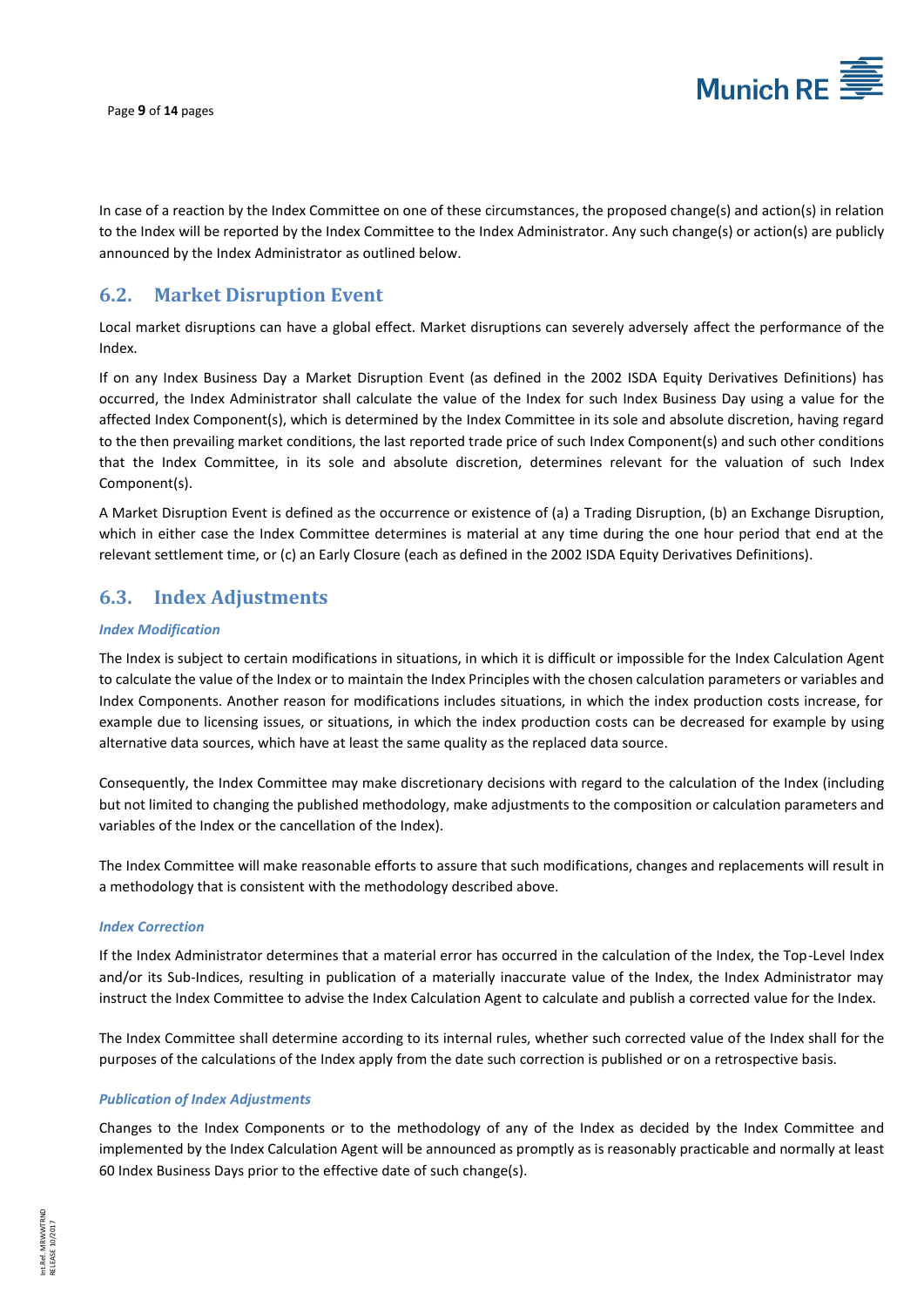

In case of a reaction by the Index Committee on one of these circumstances, the proposed change(s) and action(s) in relation to the Index will be reported by the Index Committee to the Index Administrator. Any such change(s) or action(s) are publicly announced by the Index Administrator as outlined below.

## <span id="page-9-0"></span>**6.2. Market Disruption Event**

Local market disruptions can have a global effect. Market disruptions can severely adversely affect the performance of the Index.

If on any Index Business Day a Market Disruption Event (as defined in the 2002 ISDA Equity Derivatives Definitions) has occurred, the Index Administrator shall calculate the value of the Index for such Index Business Day using a value for the affected Index Component(s), which is determined by the Index Committee in its sole and absolute discretion, having regard to the then prevailing market conditions, the last reported trade price of such Index Component(s) and such other conditions that the Index Committee, in its sole and absolute discretion, determines relevant for the valuation of such Index Component(s).

A Market Disruption Event is defined as the occurrence or existence of (a) a Trading Disruption, (b) an Exchange Disruption, which in either case the Index Committee determines is material at any time during the one hour period that end at the relevant settlement time, or (c) an Early Closure (each as defined in the 2002 ISDA Equity Derivatives Definitions).

## <span id="page-9-1"></span>**6.3. Index Adjustments**

#### *Index Modification*

The Index is subject to certain modifications in situations, in which it is difficult or impossible for the Index Calculation Agent to calculate the value of the Index or to maintain the Index Principles with the chosen calculation parameters or variables and Index Components. Another reason for modifications includes situations, in which the index production costs increase, for example due to licensing issues, or situations, in which the index production costs can be decreased for example by using alternative data sources, which have at least the same quality as the replaced data source.

Consequently, the Index Committee may make discretionary decisions with regard to the calculation of the Index (including but not limited to changing the published methodology, make adjustments to the composition or calculation parameters and variables of the Index or the cancellation of the Index).

The Index Committee will make reasonable efforts to assure that such modifications, changes and replacements will result in a methodology that is consistent with the methodology described above.

#### *Index Correction*

If the Index Administrator determines that a material error has occurred in the calculation of the Index, the Top-Level Index and/or its Sub-Indices, resulting in publication of a materially inaccurate value of the Index, the Index Administrator may instruct the Index Committee to advise the Index Calculation Agent to calculate and publish a corrected value for the Index.

The Index Committee shall determine according to its internal rules, whether such corrected value of the Index shall for the purposes of the calculations of the Index apply from the date such correction is published or on a retrospective basis.

#### *Publication of Index Adjustments*

Changes to the Index Components or to the methodology of any of the Index as decided by the Index Committee and implemented by the Index Calculation Agent will be announced as promptly as is reasonably practicable and normally at least 60 Index Business Days prior to the effective date of such change(s).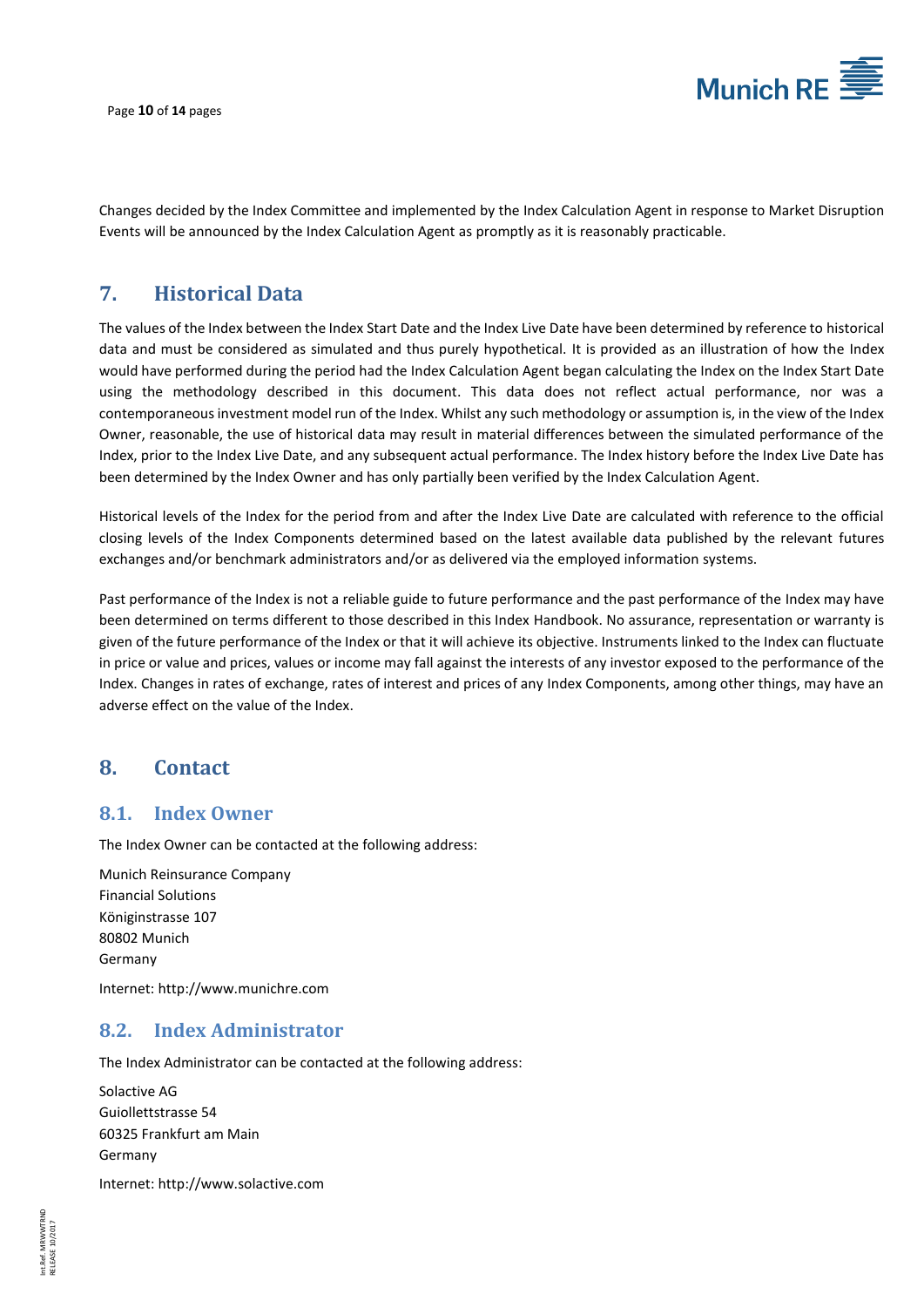

Page **10** of **14** pages

Changes decided by the Index Committee and implemented by the Index Calculation Agent in response to Market Disruption Events will be announced by the Index Calculation Agent as promptly as it is reasonably practicable.

## <span id="page-10-0"></span>**7. Historical Data**

The values of the Index between the Index Start Date and the Index Live Date have been determined by reference to historical data and must be considered as simulated and thus purely hypothetical. It is provided as an illustration of how the Index would have performed during the period had the Index Calculation Agent began calculating the Index on the Index Start Date using the methodology described in this document. This data does not reflect actual performance, nor was a contemporaneous investment model run of the Index. Whilst any such methodology or assumption is, in the view of the Index Owner, reasonable, the use of historical data may result in material differences between the simulated performance of the Index, prior to the Index Live Date, and any subsequent actual performance. The Index history before the Index Live Date has been determined by the Index Owner and has only partially been verified by the Index Calculation Agent.

Historical levels of the Index for the period from and after the Index Live Date are calculated with reference to the official closing levels of the Index Components determined based on the latest available data published by the relevant futures exchanges and/or benchmark administrators and/or as delivered via the employed information systems.

Past performance of the Index is not a reliable guide to future performance and the past performance of the Index may have been determined on terms different to those described in this Index Handbook. No assurance, representation or warranty is given of the future performance of the Index or that it will achieve its objective. Instruments linked to the Index can fluctuate in price or value and prices, values or income may fall against the interests of any investor exposed to the performance of the Index. Changes in rates of exchange, rates of interest and prices of any Index Components, among other things, may have an adverse effect on the value of the Index.

#### <span id="page-10-1"></span>**8. Contact**

#### <span id="page-10-2"></span>**8.1. Index Owner**

The Index Owner can be contacted at the following address:

Munich Reinsurance Company Financial Solutions Königinstrasse 107 80802 Munich Germany

<span id="page-10-3"></span>Internet: [http://www.munichre.com](http://www.munichre.com/)

#### **8.2. Index Administrator**

The Index Administrator can be contacted at the following address:

Solactive AG Guiollettstrasse 54 60325 Frankfurt am Main Germany

Internet: [http://www.solactive.com](http://www.solactive.com/)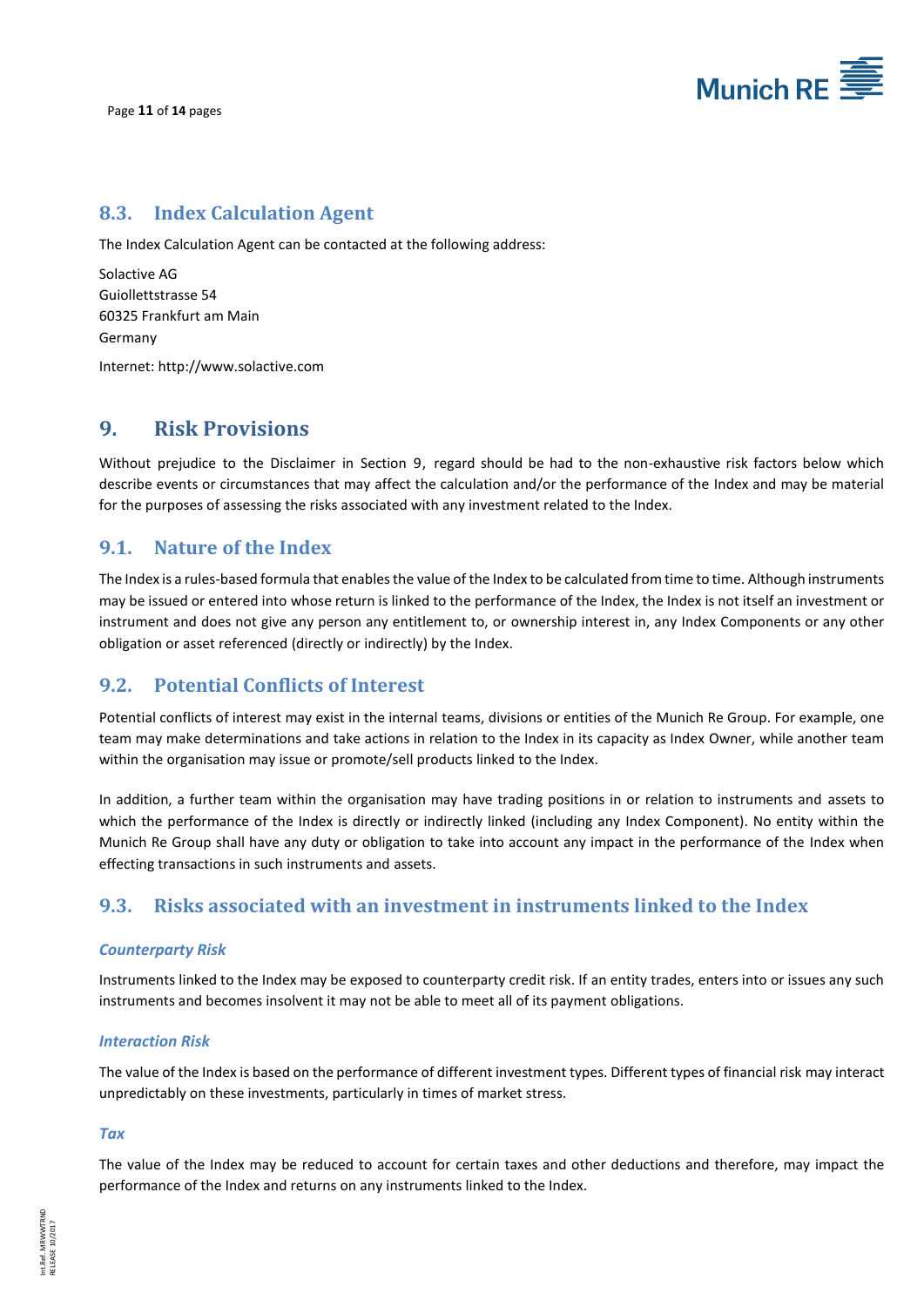

## <span id="page-11-0"></span>**8.3. Index Calculation Agent**

The Index Calculation Agent can be contacted at the following address:

Solactive AG Guiollettstrasse 54 60325 Frankfurt am Main Germany

<span id="page-11-1"></span>Internet: [http://www.solactive.com](http://www.solactive.com/)

#### **9. Risk Provisions**

Without prejudice to the Disclaimer in Section 9, regard should be had to the non-exhaustive risk factors below which describe events or circumstances that may affect the calculation and/or the performance of the Index and may be material for the purposes of assessing the risks associated with any investment related to the Index.

#### <span id="page-11-2"></span>**9.1. Nature of the Index**

The Index is a rules-based formula that enables the value of the Index to be calculated from time to time. Although instruments may be issued or entered into whose return is linked to the performance of the Index, the Index is not itself an investment or instrument and does not give any person any entitlement to, or ownership interest in, any Index Components or any other obligation or asset referenced (directly or indirectly) by the Index.

#### <span id="page-11-3"></span>**9.2. Potential Conflicts of Interest**

Potential conflicts of interest may exist in the internal teams, divisions or entities of the Munich Re Group. For example, one team may make determinations and take actions in relation to the Index in its capacity as Index Owner, while another team within the organisation may issue or promote/sell products linked to the Index.

In addition, a further team within the organisation may have trading positions in or relation to instruments and assets to which the performance of the Index is directly or indirectly linked (including any Index Component). No entity within the Munich Re Group shall have any duty or obligation to take into account any impact in the performance of the Index when effecting transactions in such instruments and assets.

#### <span id="page-11-4"></span>**9.3. Risks associated with an investment in instruments linked to the Index**

#### *Counterparty Risk*

Instruments linked to the Index may be exposed to counterparty credit risk. If an entity trades, enters into or issues any such instruments and becomes insolvent it may not be able to meet all of its payment obligations.

#### *Interaction Risk*

The value of the Index is based on the performance of different investment types. Different types of financial risk may interact unpredictably on these investments, particularly in times of market stress.

#### *Tax*

The value of the Index may be reduced to account for certain taxes and other deductions and therefore, may impact the performance of the Index and returns on any instruments linked to the Index.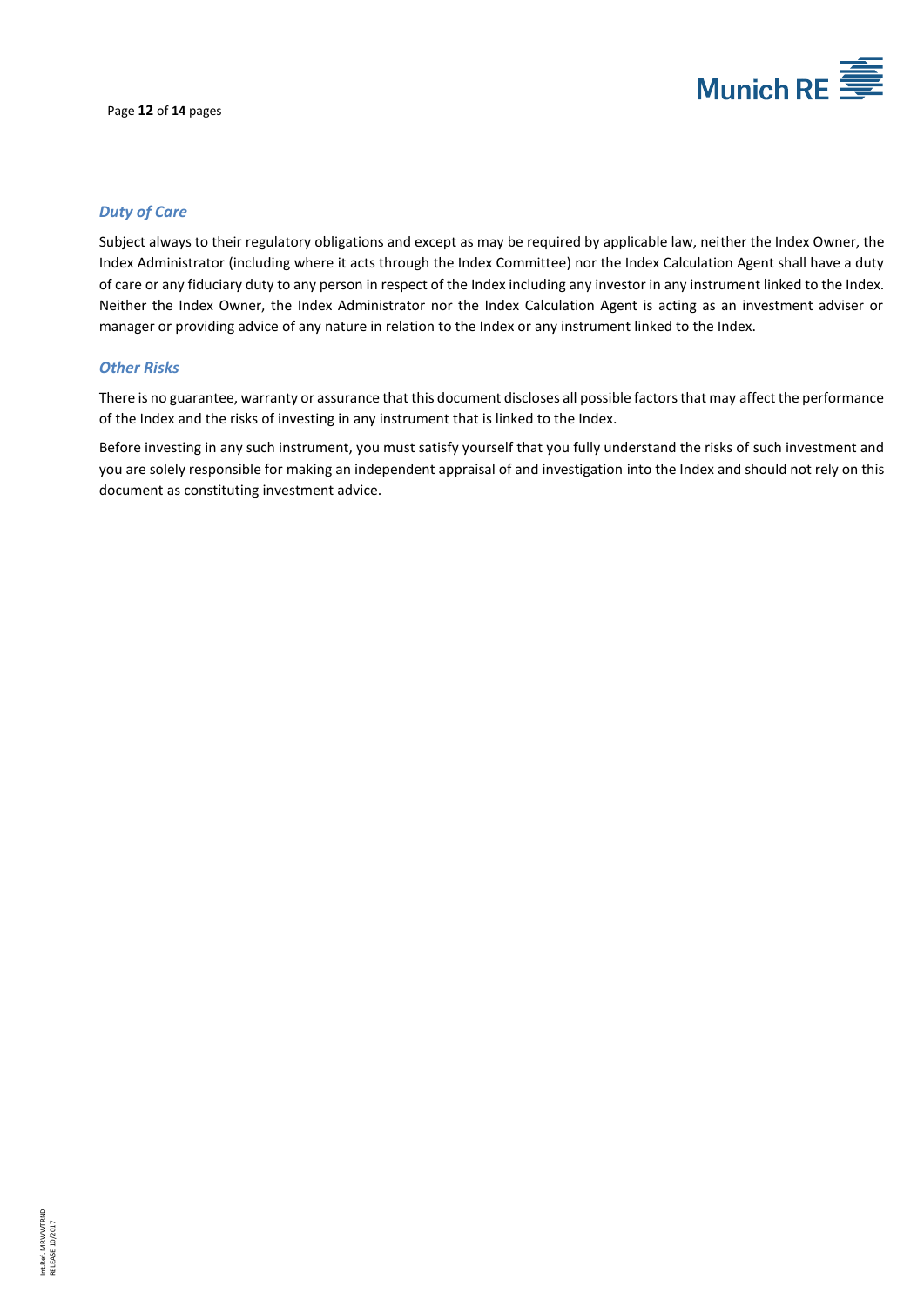

#### *Duty of Care*

Subject always to their regulatory obligations and except as may be required by applicable law, neither the Index Owner, the Index Administrator (including where it acts through the Index Committee) nor the Index Calculation Agent shall have a duty of care or any fiduciary duty to any person in respect of the Index including any investor in any instrument linked to the Index. Neither the Index Owner, the Index Administrator nor the Index Calculation Agent is acting as an investment adviser or manager or providing advice of any nature in relation to the Index or any instrument linked to the Index.

#### *Other Risks*

There is no guarantee, warranty or assurance that this document discloses all possible factors that may affect the performance of the Index and the risks of investing in any instrument that is linked to the Index.

Before investing in any such instrument, you must satisfy yourself that you fully understand the risks of such investment and you are solely responsible for making an independent appraisal of and investigation into the Index and should not rely on this document as constituting investment advice.